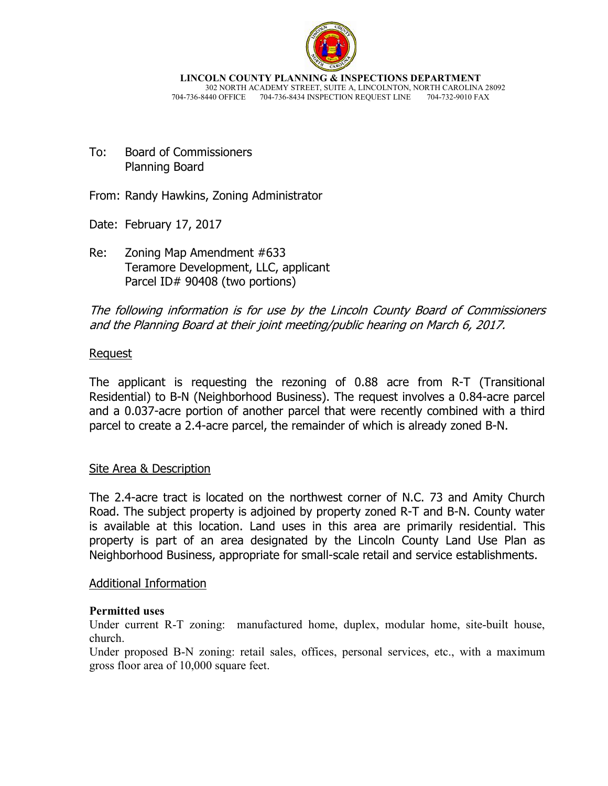

**LINCOLN COUNTY PLANNING & INSPECTIONS DEPARTMENT** 302 NORTH ACADEMY STREET, SUITE A, LINCOLNTON, NORTH CAROLINA 28092 704-736-8440 OFFICE 704-736-8434 INSPECTION REQUEST LINE 704-732-9010 FAX

To: Board of Commissioners Planning Board

From: Randy Hawkins, Zoning Administrator

Date: February 17, 2017

Re: Zoning Map Amendment #633 Teramore Development, LLC, applicant Parcel ID# 90408 (two portions)

# The following information is for use by the Lincoln County Board of Commissioners and the Planning Board at their joint meeting/public hearing on March 6, 2017.

# Request

The applicant is requesting the rezoning of 0.88 acre from R-T (Transitional Residential) to B-N (Neighborhood Business). The request involves a 0.84-acre parcel and a 0.037-acre portion of another parcel that were recently combined with a third parcel to create a 2.4-acre parcel, the remainder of which is already zoned B-N.

#### Site Area & Description

The 2.4-acre tract is located on the northwest corner of N.C. 73 and Amity Church Road. The subject property is adjoined by property zoned R-T and B-N. County water is available at this location. Land uses in this area are primarily residential. This property is part of an area designated by the Lincoln County Land Use Plan as Neighborhood Business, appropriate for small-scale retail and service establishments.

#### Additional Information

#### **Permitted uses**

Under current R-T zoning: manufactured home, duplex, modular home, site-built house, church.

Under proposed B-N zoning: retail sales, offices, personal services, etc., with a maximum gross floor area of 10,000 square feet.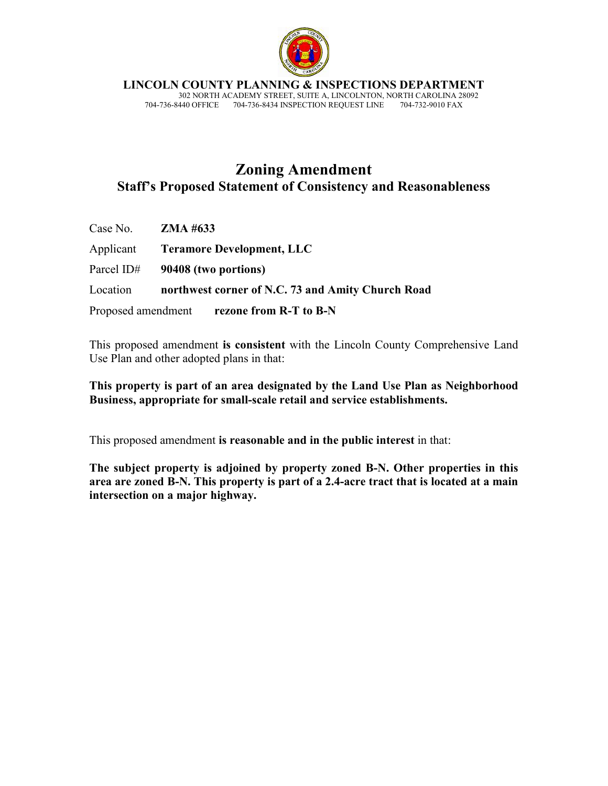

**LINCOLN COUNTY PLANNING & INSPECTIONS DEPARTMENT**

 302 NORTH ACADEMY STREET, SUITE A, LINCOLNTON, NORTH CAROLINA 28092 704-736-8440 OFFICE 704-736-8434 INSPECTION REQUEST LINE 704-732-9010 FAX

# **Zoning Amendment Staff's Proposed Statement of Consistency and Reasonableness**

| Case No. $ZMA \#633$ |                                                   |
|----------------------|---------------------------------------------------|
|                      | Applicant Teramore Development, LLC               |
|                      | Parcel ID# $90408$ (two portions)                 |
| Location             | northwest corner of N.C. 73 and Amity Church Road |
|                      | Proposed amendment rezone from R-T to B-N         |

This proposed amendment **is consistent** with the Lincoln County Comprehensive Land Use Plan and other adopted plans in that:

**This property is part of an area designated by the Land Use Plan as Neighborhood Business, appropriate for small-scale retail and service establishments.** 

This proposed amendment **is reasonable and in the public interest** in that:

**The subject property is adjoined by property zoned B-N. Other properties in this area are zoned B-N. This property is part of a 2.4-acre tract that is located at a main intersection on a major highway.**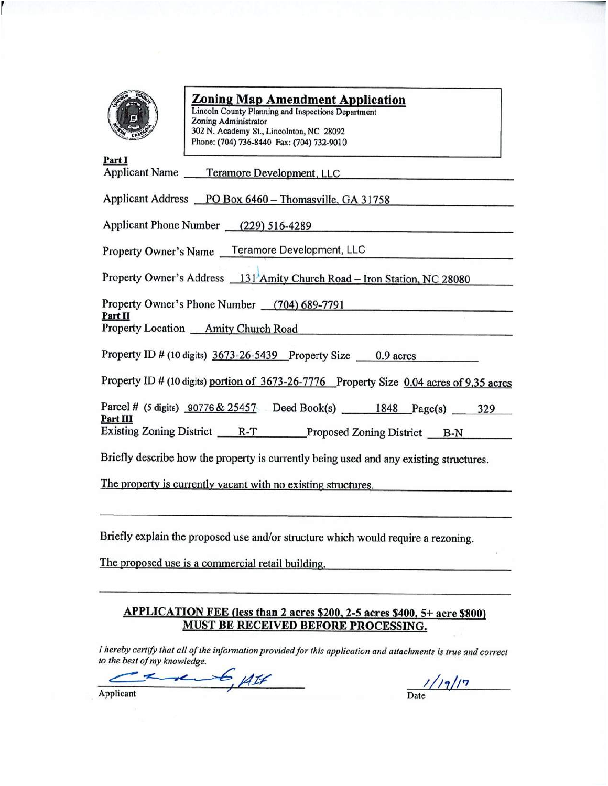

# **Zoning Map Amendment Application**

Lincoln County Planning and Inspections Department Zoning Administrator 302 N. Academy St., Lincolnton, NC 28092 Phone: (704) 736-8440 Fax: (704) 732-9010

| Part I<br>Applicant Name Teramore Development, LLC                                       |
|------------------------------------------------------------------------------------------|
|                                                                                          |
| Applicant Address PO Box 6460 - Thomasville, GA 31758                                    |
| Applicant Phone Number (229) 516-4289                                                    |
| Property Owner's Name Teramore Development, LLC                                          |
| Property Owner's Address 131 Amity Church Road - Iron Station, NC 28080                  |
| Property Owner's Phone Number (704) 689-7791<br>Part II                                  |
| Property Location <i>Amity Church Road</i>                                               |
| Property ID # (10 digits) $3673-26-5439$ Property Size $\qquad 0.9$ acres                |
| Property ID # (10 digits) portion of 3673-26-7776 Property Size 0.04 acres of 9.35 acres |
| Parcel # (5 digits) 90776 & 25457 Deed Book(s) 1848 Page(s) 329<br><u>Part III</u>       |
| Existing Zoning District R-T Proposed Zoning District B-N                                |
| Briefly describe how the property is currently being used and any existing structures.   |
| The property is currently vacant with no existing structures.                            |
|                                                                                          |

Briefly explain the proposed use and/or structure which would require a rezoning.

The proposed use is a commercial retail building.

#### APPLICATION FEE (less than 2 acres \$200, 2-5 acres \$400, 5+ acre \$800) **MUST BE RECEIVED BEFORE PROCESSING.**

I hereby certify that all of the information provided for this application and attachments is true and correct to the best of my knowledge.

 $6.417$ z

 $1/19/17$ 

Applicant

Date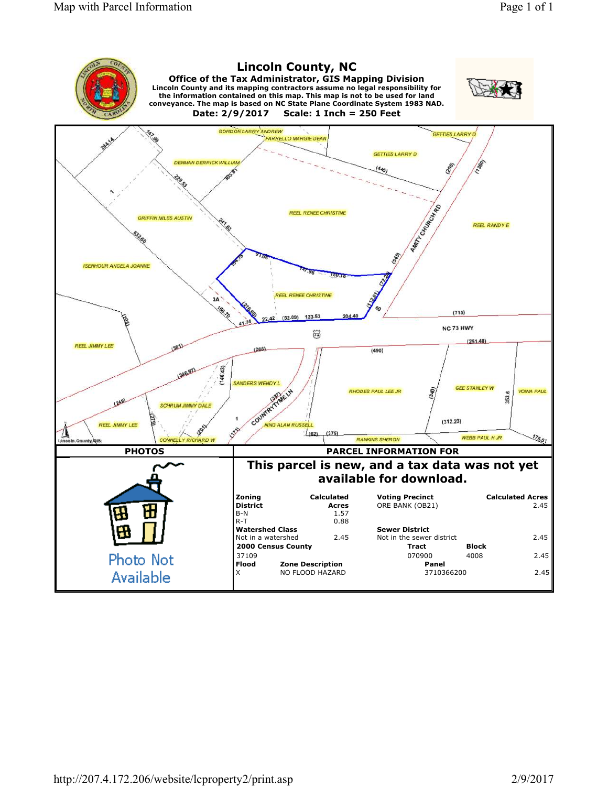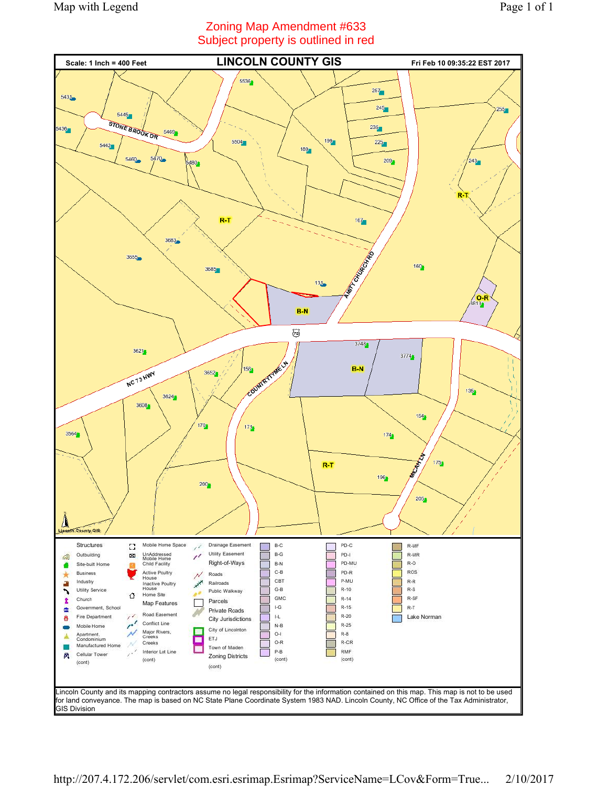# Zoning Map Amendment #633 Subject property is outlined in red